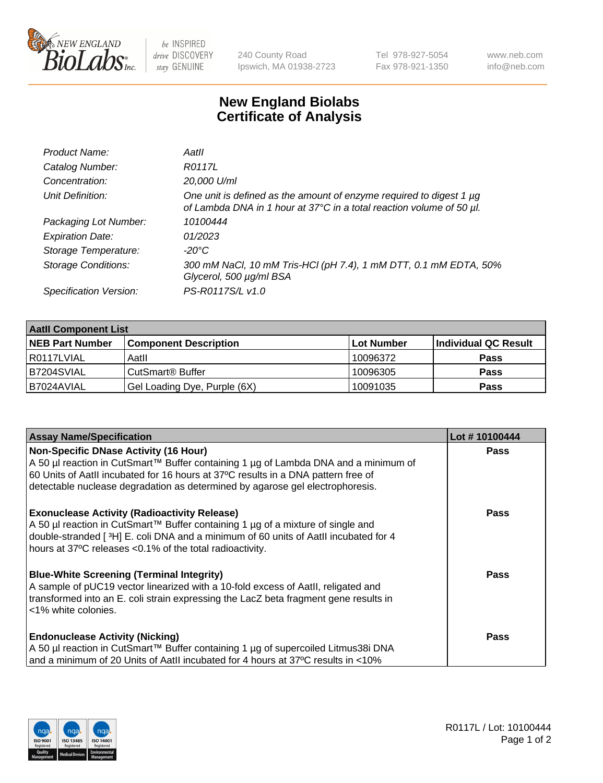

 $be$  INSPIRED drive DISCOVERY stay GENUINE

240 County Road Ipswich, MA 01938-2723 Tel 978-927-5054 Fax 978-921-1350 www.neb.com info@neb.com

## **New England Biolabs Certificate of Analysis**

| Product Name:              | Aatll                                                                                                                                            |
|----------------------------|--------------------------------------------------------------------------------------------------------------------------------------------------|
| Catalog Number:            | R0117L                                                                                                                                           |
| Concentration:             | 20,000 U/ml                                                                                                                                      |
| Unit Definition:           | One unit is defined as the amount of enzyme required to digest 1 $\mu$ g<br>of Lambda DNA in 1 hour at 37°C in a total reaction volume of 50 µl. |
| Packaging Lot Number:      | 10100444                                                                                                                                         |
| <b>Expiration Date:</b>    | 01/2023                                                                                                                                          |
| Storage Temperature:       | -20°C                                                                                                                                            |
| <b>Storage Conditions:</b> | 300 mM NaCl, 10 mM Tris-HCl (pH 7.4), 1 mM DTT, 0.1 mM EDTA, 50%<br>Glycerol, 500 µg/ml BSA                                                      |
| Specification Version:     | PS-R0117S/L v1.0                                                                                                                                 |

| <b>Aatll Component List</b> |                              |            |                      |  |  |
|-----------------------------|------------------------------|------------|----------------------|--|--|
| <b>NEB Part Number</b>      | <b>Component Description</b> | Lot Number | Individual QC Result |  |  |
| l R0117LVIAL                | Aatll                        | 10096372   | <b>Pass</b>          |  |  |
| IB7204SVIAL                 | CutSmart <sup>®</sup> Buffer | 10096305   | <b>Pass</b>          |  |  |
| B7024AVIAL                  | Gel Loading Dye, Purple (6X) | 10091035   | <b>Pass</b>          |  |  |

| <b>Assay Name/Specification</b>                                                      | Lot #10100444 |
|--------------------------------------------------------------------------------------|---------------|
| Non-Specific DNase Activity (16 Hour)                                                | <b>Pass</b>   |
| A 50 µl reaction in CutSmart™ Buffer containing 1 µg of Lambda DNA and a minimum of  |               |
| 60 Units of Aatll incubated for 16 hours at 37°C results in a DNA pattern free of    |               |
| detectable nuclease degradation as determined by agarose gel electrophoresis.        |               |
| <b>Exonuclease Activity (Radioactivity Release)</b>                                  | Pass          |
| A 50 µl reaction in CutSmart™ Buffer containing 1 µg of a mixture of single and      |               |
| double-stranded [3H] E. coli DNA and a minimum of 60 units of Aatll incubated for 4  |               |
| hours at 37°C releases <0.1% of the total radioactivity.                             |               |
| <b>Blue-White Screening (Terminal Integrity)</b>                                     | Pass          |
| A sample of pUC19 vector linearized with a 10-fold excess of Aatll, religated and    |               |
| transformed into an E. coli strain expressing the LacZ beta fragment gene results in |               |
| l <1% white colonies.                                                                |               |
|                                                                                      |               |
| <b>Endonuclease Activity (Nicking)</b>                                               | Pass          |
| A 50 µl reaction in CutSmart™ Buffer containing 1 µg of supercoiled Litmus38i DNA    |               |
| and a minimum of 20 Units of AatII incubated for 4 hours at 37°C results in <10%     |               |